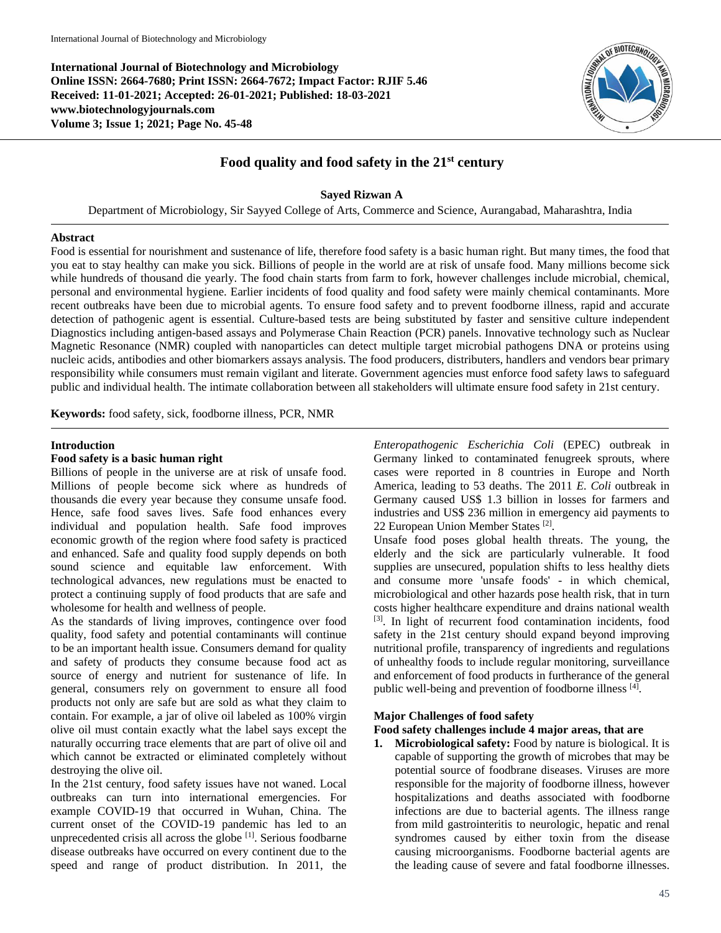**International Journal of Biotechnology and Microbiology Online ISSN: 2664-7680; Print ISSN: 2664-7672; Impact Factor: RJIF 5.46 Received: 11-01-2021; Accepted: 26-01-2021; Published: 18-03-2021 www.biotechnologyjournals.com Volume 3; Issue 1; 2021; Page No. 45-48**



# **Food quality and food safety in the 21st century**

## **Sayed Rizwan A**

Department of Microbiology, Sir Sayyed College of Arts, Commerce and Science, Aurangabad, Maharashtra, India

### **Abstract**

Food is essential for nourishment and sustenance of life, therefore food safety is a basic human right. But many times, the food that you eat to stay healthy can make you sick. Billions of people in the world are at risk of unsafe food. Many millions become sick while hundreds of thousand die yearly. The food chain starts from farm to fork, however challenges include microbial, chemical, personal and environmental hygiene. Earlier incidents of food quality and food safety were mainly chemical contaminants. More recent outbreaks have been due to microbial agents. To ensure food safety and to prevent foodborne illness, rapid and accurate detection of pathogenic agent is essential. Culture-based tests are being substituted by faster and sensitive culture independent Diagnostics including antigen-based assays and Polymerase Chain Reaction (PCR) panels. Innovative technology such as Nuclear Magnetic Resonance (NMR) coupled with nanoparticles can detect multiple target microbial pathogens DNA or proteins using nucleic acids, antibodies and other biomarkers assays analysis. The food producers, distributers, handlers and vendors bear primary responsibility while consumers must remain vigilant and literate. Government agencies must enforce food safety laws to safeguard public and individual health. The intimate collaboration between all stakeholders will ultimate ensure food safety in 21st century.

**Keywords:** food safety, sick, foodborne illness, PCR, NMR

### **Introduction**

## **Food safety is a basic human right**

Billions of people in the universe are at risk of unsafe food. Millions of people become sick where as hundreds of thousands die every year because they consume unsafe food. Hence, safe food saves lives. Safe food enhances every individual and population health. Safe food improves economic growth of the region where food safety is practiced and enhanced. Safe and quality food supply depends on both sound science and equitable law enforcement. With technological advances, new regulations must be enacted to protect a continuing supply of food products that are safe and wholesome for health and wellness of people.

As the standards of living improves, contingence over food quality, food safety and potential contaminants will continue to be an important health issue. Consumers demand for quality and safety of products they consume because food act as source of energy and nutrient for sustenance of life. In general, consumers rely on government to ensure all food products not only are safe but are sold as what they claim to contain. For example, a jar of olive oil labeled as 100% virgin olive oil must contain exactly what the label says except the naturally occurring trace elements that are part of olive oil and which cannot be extracted or eliminated completely without destroying the olive oil.

In the 21st century, food safety issues have not waned. Local outbreaks can turn into international emergencies. For example COVID-19 that occurred in Wuhan, China. The current onset of the COVID-19 pandemic has led to an unprecedented crisis all across the globe [1]. Serious foodbarne disease outbreaks have occurred on every continent due to the speed and range of product distribution. In 2011, the

*Enteropathogenic Escherichia Coli* (EPEC) outbreak in Germany linked to contaminated fenugreek sprouts, where cases were reported in 8 countries in Europe and North America, leading to 53 deaths. The 2011 *E. Coli* outbreak in Germany caused US\$ 1.3 billion in losses for farmers and industries and US\$ 236 million in emergency aid payments to 22 European Union Member States<sup>[2]</sup>.

Unsafe food poses global health threats. The young, the elderly and the sick are particularly vulnerable. It food supplies are unsecured, population shifts to less healthy diets and consume more 'unsafe foods' - in which chemical, microbiological and other hazards pose health risk, that in turn costs higher healthcare expenditure and drains national wealth [3]. In light of recurrent food contamination incidents, food safety in the 21st century should expand beyond improving nutritional profile, transparency of ingredients and regulations of unhealthy foods to include regular monitoring, surveillance and enforcement of food products in furtherance of the general public well-being and prevention of foodborne illness [4].

## **Major Challenges of food safety**

## **Food safety challenges include 4 major areas, that are**

**1. Microbiological safety:** Food by nature is biological. It is capable of supporting the growth of microbes that may be potential source of foodbrane diseases. Viruses are more responsible for the majority of foodborne illness, however hospitalizations and deaths associated with foodborne infections are due to bacterial agents. The illness range from mild gastrointeritis to neurologic, hepatic and renal syndromes caused by either toxin from the disease causing microorganisms. Foodborne bacterial agents are the leading cause of severe and fatal foodborne illnesses.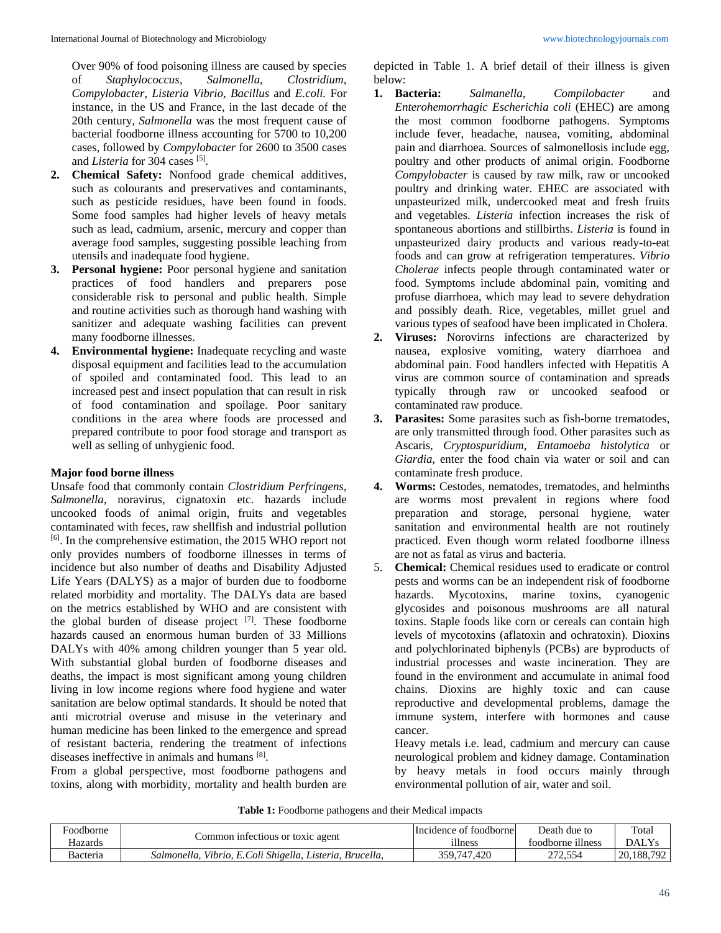Over 90% of food poisoning illness are caused by species of *Staphylococcus, Salmonella, Clostridium, Compylobacter, Listeria Vibrio, Bacillus* and *E.coli.* For instance, in the US and France, in the last decade of the 20th century, *Salmonella* was the most frequent cause of bacterial foodborne illness accounting for 5700 to 10,200 cases, followed by *Compylobacter* for 2600 to 3500 cases and *Listeria* for 304 cases [5].

- **2. Chemical Safety:** Nonfood grade chemical additives, such as colourants and preservatives and contaminants, such as pesticide residues, have been found in foods. Some food samples had higher levels of heavy metals such as lead, cadmium, arsenic, mercury and copper than average food samples, suggesting possible leaching from utensils and inadequate food hygiene.
- **3. Personal hygiene:** Poor personal hygiene and sanitation practices of food handlers and preparers pose considerable risk to personal and public health. Simple and routine activities such as thorough hand washing with sanitizer and adequate washing facilities can prevent many foodborne illnesses.
- **4. Environmental hygiene:** Inadequate recycling and waste disposal equipment and facilities lead to the accumulation of spoiled and contaminated food. This lead to an increased pest and insect population that can result in risk of food contamination and spoilage. Poor sanitary conditions in the area where foods are processed and prepared contribute to poor food storage and transport as well as selling of unhygienic food.

## **Major food borne illness**

Unsafe food that commonly contain *Clostridium Perfringens, Salmonella,* noravirus, cignatoxin etc. hazards include uncooked foods of animal origin, fruits and vegetables contaminated with feces, raw shellfish and industrial pollution [6]. In the comprehensive estimation, the 2015 WHO report not only provides numbers of foodborne illnesses in terms of incidence but also number of deaths and Disability Adjusted Life Years (DALYS) as a major of burden due to foodborne related morbidity and mortality. The DALYs data are based on the metrics established by WHO and are consistent with the global burden of disease project [7]. These foodborne hazards caused an enormous human burden of 33 Millions DALYs with 40% among children younger than 5 year old. With substantial global burden of foodborne diseases and deaths, the impact is most significant among young children living in low income regions where food hygiene and water sanitation are below optimal standards. It should be noted that anti microtrial overuse and misuse in the veterinary and human medicine has been linked to the emergence and spread of resistant bacteria, rendering the treatment of infections diseases ineffective in animals and humans [8].

From a global perspective, most foodborne pathogens and toxins, along with morbidity, mortality and health burden are

depicted in Table 1. A brief detail of their illness is given below:

- **1. Bacteria:** *Salmanella, Compilobacter* and *Enterohemorrhagic Escherichia coli* (EHEC) are among the most common foodborne pathogens. Symptoms include fever, headache, nausea, vomiting, abdominal pain and diarrhoea. Sources of salmonellosis include egg, poultry and other products of animal origin. Foodborne *Compylobacter* is caused by raw milk, raw or uncooked poultry and drinking water. EHEC are associated with unpasteurized milk, undercooked meat and fresh fruits and vegetables. *Listeria* infection increases the risk of spontaneous abortions and stillbirths. *Listeria* is found in unpasteurized dairy products and various ready-to-eat foods and can grow at refrigeration temperatures. *Vibrio Cholerae* infects people through contaminated water or food. Symptoms include abdominal pain, vomiting and profuse diarrhoea, which may lead to severe dehydration and possibly death. Rice, vegetables, millet gruel and various types of seafood have been implicated in Cholera.
- **2. Viruses:** Norovirns infections are characterized by nausea, explosive vomiting, watery diarrhoea and abdominal pain. Food handlers infected with Hepatitis A virus are common source of contamination and spreads typically through raw or uncooked seafood or contaminated raw produce.
- **3. Parasites:** Some parasites such as fish-borne trematodes, are only transmitted through food. Other parasites such as Ascaris, *Cryptospuridium, Entamoeba histolytica* or *Giardia,* enter the food chain via water or soil and can contaminate fresh produce.
- **4. Worms:** Cestodes, nematodes, trematodes, and helminths are worms most prevalent in regions where food preparation and storage, personal hygiene, water sanitation and environmental health are not routinely practiced. Even though worm related foodborne illness are not as fatal as virus and bacteria.
- 5. **Chemical:** Chemical residues used to eradicate or control pests and worms can be an independent risk of foodborne hazards. Mycotoxins, marine toxins, cyanogenic glycosides and poisonous mushrooms are all natural toxins. Staple foods like corn or cereals can contain high levels of mycotoxins (aflatoxin and ochratoxin). Dioxins and polychlorinated biphenyls (PCBs) are byproducts of industrial processes and waste incineration. They are found in the environment and accumulate in animal food chains. Dioxins are highly toxic and can cause reproductive and developmental problems, damage the immune system, interfere with hormones and cause cancer.

Heavy metals i.e. lead, cadmium and mercury can cause neurological problem and kidney damage. Contamination by heavy metals in food occurs mainly through environmental pollution of air, water and soil.

**Table 1:** Foodborne pathogens and their Medical impacts

| Foodborne | Common infectious or toxic agent                            | Incidence of foodborne | Death due to      | Total        |
|-----------|-------------------------------------------------------------|------------------------|-------------------|--------------|
| Hazards   |                                                             | illness                | foodborne illness | <b>DALYs</b> |
| Bacteria  | Vibrio, E.Coli Shigella, Listeria, Brucella,<br>Salmonella. | 359.747.420            | 272.554           | 20.188.792   |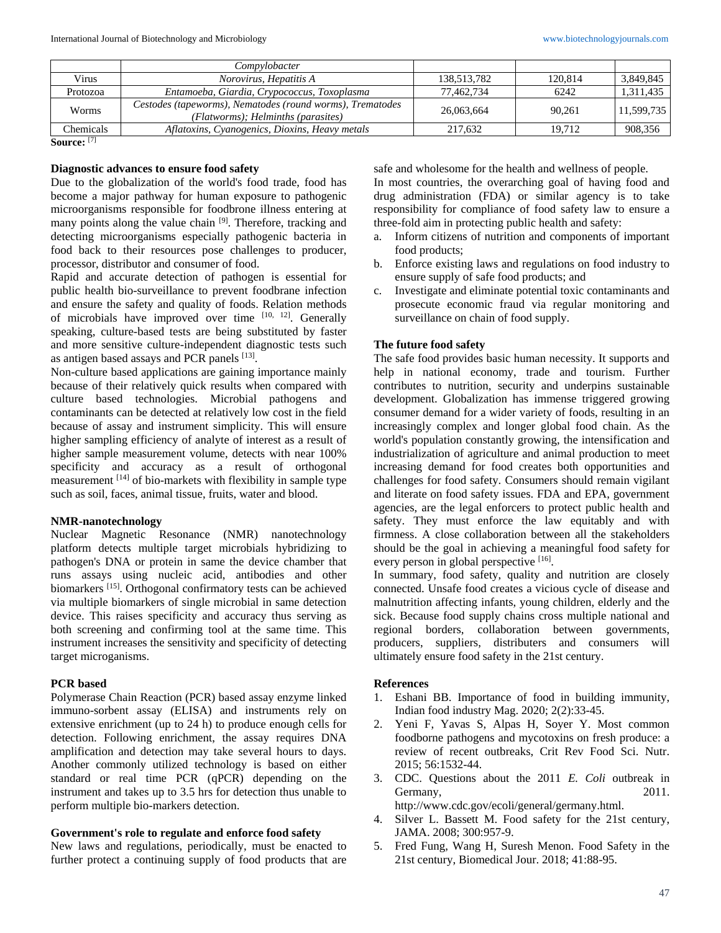|           | Compylobacter                                                                                   |             |         |            |
|-----------|-------------------------------------------------------------------------------------------------|-------------|---------|------------|
| Virus     | Norovirus, Hepatitis A                                                                          | 138,513,782 | 120,814 | 3,849,845  |
| Protozoa  | Entamoeba, Giardia, Crypococcus, Toxoplasma                                                     | 77,462,734  | 6242    | 1,311,435  |
| Worms     | Cestodes (tapeworms), Nematodes (round worms), Trematodes<br>(Flatworms); Helminths (parasites) | 26,063,664  | 90.261  | 11,599,735 |
| Chemicals | Aflatoxins, Cyanogenics, Dioxins, Heavy metals                                                  | 217.632     | 19.712  | 908,356    |

**Source:** [7]

## **Diagnostic advances to ensure food safety**

Due to the globalization of the world's food trade, food has become a major pathway for human exposure to pathogenic microorganisms responsible for foodbrone illness entering at many points along the value chain [9]. Therefore, tracking and detecting microorganisms especially pathogenic bacteria in food back to their resources pose challenges to producer, processor, distributor and consumer of food.

Rapid and accurate detection of pathogen is essential for public health bio-surveillance to prevent foodbrane infection and ensure the safety and quality of foods. Relation methods of microbials have improved over time [10, 12]. Generally speaking, culture-based tests are being substituted by faster and more sensitive culture-independent diagnostic tests such as antigen based assays and PCR panels [13].

Non-culture based applications are gaining importance mainly because of their relatively quick results when compared with culture based technologies. Microbial pathogens and contaminants can be detected at relatively low cost in the field because of assay and instrument simplicity. This will ensure higher sampling efficiency of analyte of interest as a result of higher sample measurement volume, detects with near 100% specificity and accuracy as a result of orthogonal measurement [14] of bio-markets with flexibility in sample type such as soil, faces, animal tissue, fruits, water and blood.

### **NMR-nanotechnology**

Nuclear Magnetic Resonance (NMR) nanotechnology platform detects multiple target microbials hybridizing to pathogen's DNA or protein in same the device chamber that runs assays using nucleic acid, antibodies and other biomarkers [15]. Orthogonal confirmatory tests can be achieved via multiple biomarkers of single microbial in same detection device. This raises specificity and accuracy thus serving as both screening and confirming tool at the same time. This instrument increases the sensitivity and specificity of detecting target microganisms.

### **PCR based**

Polymerase Chain Reaction (PCR) based assay enzyme linked immuno-sorbent assay (ELISA) and instruments rely on extensive enrichment (up to 24 h) to produce enough cells for detection. Following enrichment, the assay requires DNA amplification and detection may take several hours to days. Another commonly utilized technology is based on either standard or real time PCR (qPCR) depending on the instrument and takes up to 3.5 hrs for detection thus unable to perform multiple bio-markers detection.

### **Government's role to regulate and enforce food safety**

New laws and regulations, periodically, must be enacted to further protect a continuing supply of food products that are safe and wholesome for the health and wellness of people.

In most countries, the overarching goal of having food and drug administration (FDA) or similar agency is to take responsibility for compliance of food safety law to ensure a three-fold aim in protecting public health and safety:

- a. Inform citizens of nutrition and components of important food products;
- b. Enforce existing laws and regulations on food industry to ensure supply of safe food products; and
- c. Investigate and eliminate potential toxic contaminants and prosecute economic fraud via regular monitoring and surveillance on chain of food supply.

### **The future food safety**

The safe food provides basic human necessity. It supports and help in national economy, trade and tourism. Further contributes to nutrition, security and underpins sustainable development. Globalization has immense triggered growing consumer demand for a wider variety of foods, resulting in an increasingly complex and longer global food chain. As the world's population constantly growing, the intensification and industrialization of agriculture and animal production to meet increasing demand for food creates both opportunities and challenges for food safety. Consumers should remain vigilant and literate on food safety issues. FDA and EPA, government agencies, are the legal enforcers to protect public health and safety. They must enforce the law equitably and with firmness. A close collaboration between all the stakeholders should be the goal in achieving a meaningful food safety for every person in global perspective [16].

In summary, food safety, quality and nutrition are closely connected. Unsafe food creates a vicious cycle of disease and malnutrition affecting infants, young children, elderly and the sick. Because food supply chains cross multiple national and regional borders, collaboration between governments, producers, suppliers, distributers and consumers will ultimately ensure food safety in the 21st century.

### **References**

- 1. Eshani BB. Importance of food in building immunity, Indian food industry Mag. 2020; 2(2):33-45.
- 2. Yeni F, Yavas S, Alpas H, Soyer Y. Most common foodborne pathogens and mycotoxins on fresh produce: a review of recent outbreaks, Crit Rev Food Sci. Nutr. 2015; 56:1532-44.
- 3. CDC. Questions about the 2011 *E. Coli* outbreak in Germany, 2011. http://www.cdc.gov/ecoli/general/germany.html.
- 4. Silver L. Bassett M. Food safety for the 21st century, JAMA. 2008; 300:957-9.
- 5. Fred Fung, Wang H, Suresh Menon. Food Safety in the 21st century, Biomedical Jour. 2018; 41:88-95.